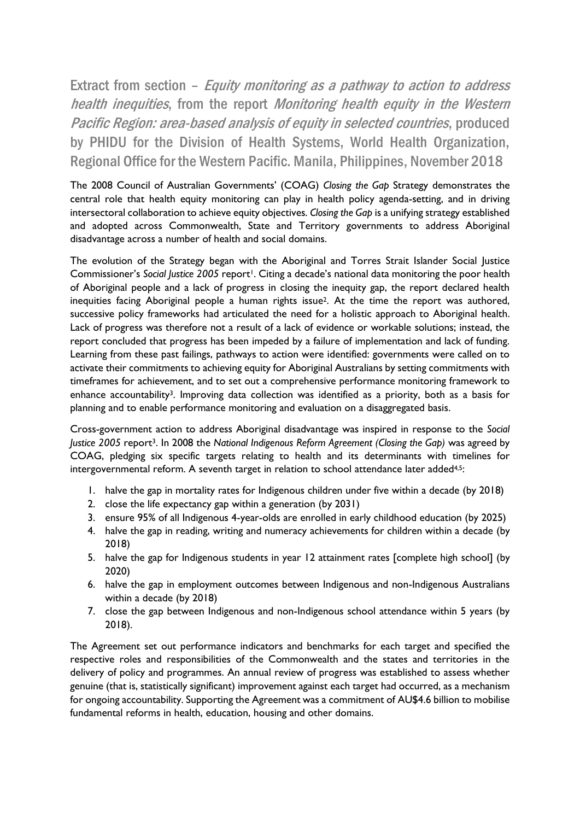Extract from section – Equity monitoring as a pathway to action to address health inequities, from the report Monitoring health equity in the Western Pacific Region: area-based analysis of equity in selected countries, produced by PHIDU for the Division of Health Systems, World Health Organization, Regional Office for the Western Pacific. Manila, Philippines, November 2018

The 2008 Council of Australian Governments' (COAG) *Closing the Gap* Strategy demonstrates the central role that health equity monitoring can play in health policy agenda-setting, and in driving intersectoral collaboration to achieve equity objectives. *Closing the Gap* is a unifying strategy established and adopted across Commonwealth, State and Territory governments to address Aboriginal disadvantage across a number of health and social domains.

The evolution of the Strategy began with the Aboriginal and Torres Strait Islander Social Justice Commissioner's *Social Justice 2005* report<sup>1</sup>. Citing a decade's national data monitoring the poor health of Aboriginal people and a lack of progress in closing the inequity gap, the report declared health inequities facing Aboriginal people a human rights issue2. At the time the report was authored, successive policy frameworks had articulated the need for a holistic approach to Aboriginal health. Lack of progress was therefore not a result of a lack of evidence or workable solutions; instead, the report concluded that progress has been impeded by a failure of implementation and lack of funding. Learning from these past failings, pathways to action were identified: governments were called on to activate their commitments to achieving equity for Aboriginal Australians by setting commitments with timeframes for achievement, and to set out a comprehensive performance monitoring framework to enhance accountability<sup>3</sup>. Improving data collection was identified as a priority, both as a basis for planning and to enable performance monitoring and evaluation on a disaggregated basis.

Cross-government action to address Aboriginal disadvantage was inspired in response to the *Social Justice 2005* report3. In 2008 the *National Indigenous Reform Agreement (Closing the Gap)* was agreed by COAG, pledging six specific targets relating to health and its determinants with timelines for intergovernmental reform. A seventh target in relation to school attendance later added<sup>4,5</sup>:

- 1. halve the gap in mortality rates for Indigenous children under five within a decade (by 2018)
- 2. close the life expectancy gap within a generation (by 2031)
- 3. ensure 95% of all Indigenous 4-year-olds are enrolled in early childhood education (by 2025)
- 4. halve the gap in reading, writing and numeracy achievements for children within a decade (by 2018)
- 5. halve the gap for Indigenous students in year 12 attainment rates [complete high school] (by 2020)
- 6. halve the gap in employment outcomes between Indigenous and non-Indigenous Australians within a decade (by 2018)
- 7. close the gap between Indigenous and non-Indigenous school attendance within 5 years (by 2018).

The Agreement set out performance indicators and benchmarks for each target and specified the respective roles and responsibilities of the Commonwealth and the states and territories in the delivery of policy and programmes. An annual review of progress was established to assess whether genuine (that is, statistically significant) improvement against each target had occurred, as a mechanism for ongoing accountability. Supporting the Agreement was a commitment of AU\$4.6 billion to mobilise fundamental reforms in health, education, housing and other domains.